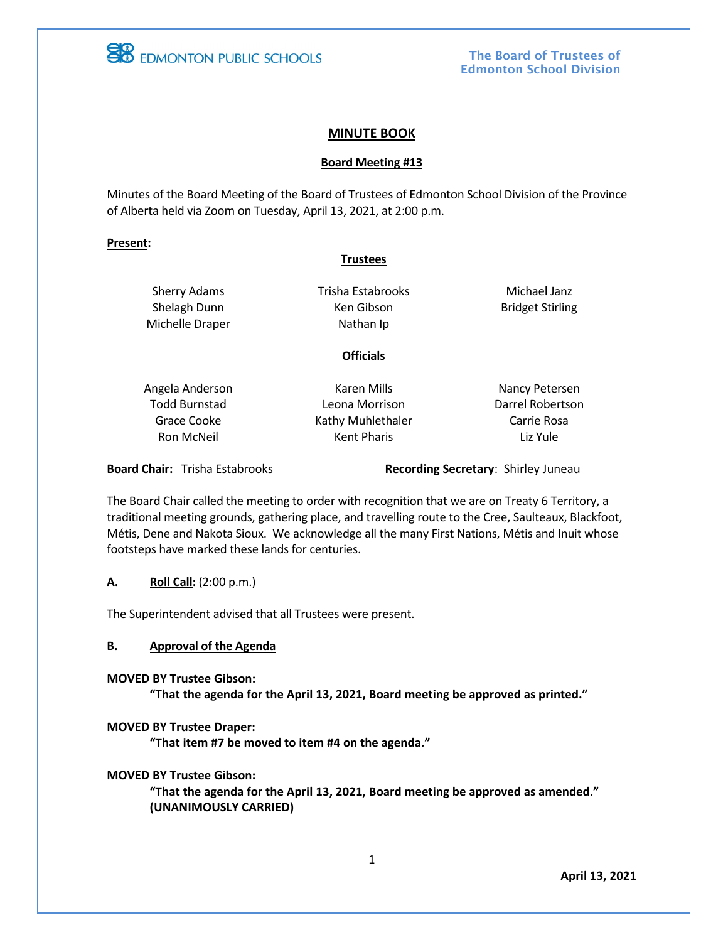

The Board of Trustees of Edmonton School Division

### **MINUTE BOOK**

#### **Board Meeting #13**

Minutes of the Board Meeting of the Board of Trustees of Edmonton School Division of the Province of Alberta held via Zoom on Tuesday, April 13, 2021, at 2:00 p.m.

#### **Present:**

#### **Trustees**

Sherry Adams Shelagh Dunn Michelle Draper Trisha Estabrooks Ken Gibson Nathan Ip

Michael Janz Bridget Stirling

### **Officials**

Angela Anderson Todd Burnstad Grace Cooke Ron McNeil

Karen Mills Leona Morrison Kathy Muhlethaler Kent Pharis

Nancy Petersen Darrel Robertson Carrie Rosa Liz Yule

**Board Chair:** Trisha Estabrooks **Recording Secretary: Shirley Juneau** 

The Board Chair called the meeting to order with recognition that we are on Treaty 6 Territory, a traditional meeting grounds, gathering place, and travelling route to the Cree, Saulteaux, Blackfoot, Métis, Dene and Nakota Sioux. We acknowledge all the many First Nations, Métis and Inuit whose footsteps have marked these lands for centuries.

**A. Roll Call:** (2:00 p.m.)

The Superintendent advised that all Trustees were present.

**B. Approval of the Agenda**

**MOVED BY Trustee Gibson:**

**"That the agenda for the April 13, 2021, Board meeting be approved as printed."** 

#### **MOVED BY Trustee Draper:**

**"That item #7 be moved to item #4 on the agenda."**

#### **MOVED BY Trustee Gibson:**

**"That the agenda for the April 13, 2021, Board meeting be approved as amended." (UNANIMOUSLY CARRIED)**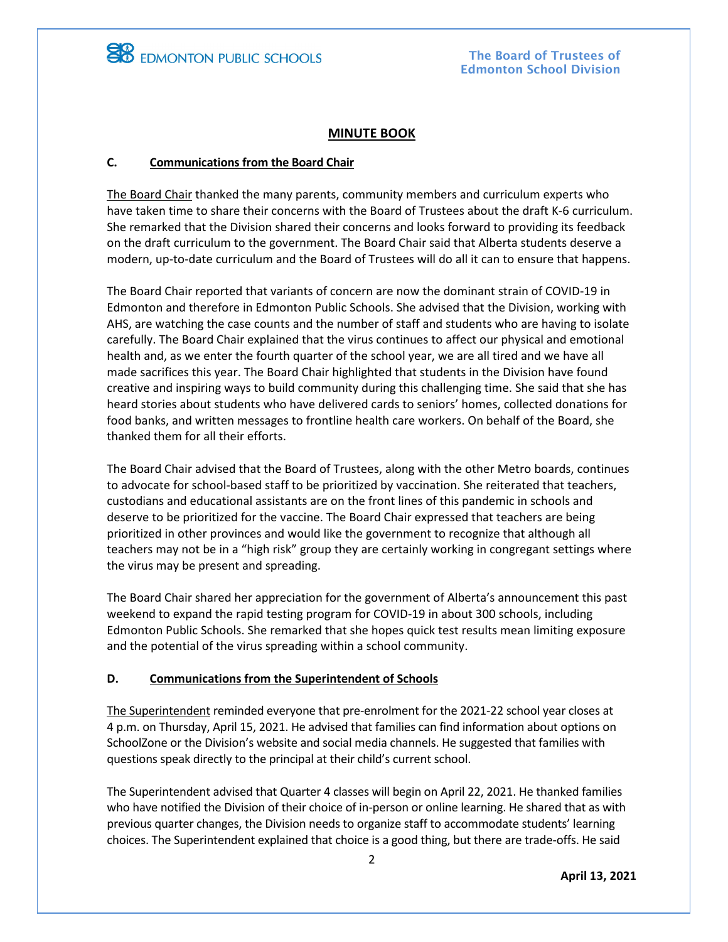

## **MINUTE BOOK**

### **C. Communications from the Board Chair**

The Board Chair thanked the many parents, community members and curriculum experts who have taken time to share their concerns with the Board of Trustees about the draft K-6 curriculum. She remarked that the Division shared their concerns and looks forward to providing its feedback on the draft curriculum to the government. The Board Chair said that Alberta students deserve a modern, up-to-date curriculum and the Board of Trustees will do all it can to ensure that happens.

The Board Chair reported that variants of concern are now the dominant strain of COVID-19 in Edmonton and therefore in Edmonton Public Schools. She advised that the Division, working with AHS, are watching the case counts and the number of staff and students who are having to isolate carefully. The Board Chair explained that the virus continues to affect our physical and emotional health and, as we enter the fourth quarter of the school year, we are all tired and we have all made sacrifices this year. The Board Chair highlighted that students in the Division have found creative and inspiring ways to build community during this challenging time. She said that she has heard stories about students who have delivered cards to seniors' homes, collected donations for food banks, and written messages to frontline health care workers. On behalf of the Board, she thanked them for all their efforts.

The Board Chair advised that the Board of Trustees, along with the other Metro boards, continues to advocate for school-based staff to be prioritized by vaccination. She reiterated that teachers, custodians and educational assistants are on the front lines of this pandemic in schools and deserve to be prioritized for the vaccine. The Board Chair expressed that teachers are being prioritized in other provinces and would like the government to recognize that although all teachers may not be in a "high risk" group they are certainly working in congregant settings where the virus may be present and spreading.

The Board Chair shared her appreciation for the government of Alberta's announcement this past weekend to expand the rapid testing program for COVID-19 in about 300 schools, including Edmonton Public Schools. She remarked that she hopes quick test results mean limiting exposure and the potential of the virus spreading within a school community.

#### **D. Communications from the Superintendent of Schools**

The Superintendent reminded everyone that pre-enrolment for the 2021-22 school year closes at 4 p.m. on Thursday, April 15, 2021. He advised that families can find information about options on SchoolZone or the Division's website and social media channels. He suggested that families with questions speak directly to the principal at their child's current school.

The Superintendent advised that Quarter 4 classes will begin on April 22, 2021. He thanked families who have notified the Division of their choice of in-person or online learning. He shared that as with previous quarter changes, the Division needs to organize staff to accommodate students' learning choices. The Superintendent explained that choice is a good thing, but there are trade-offs. He said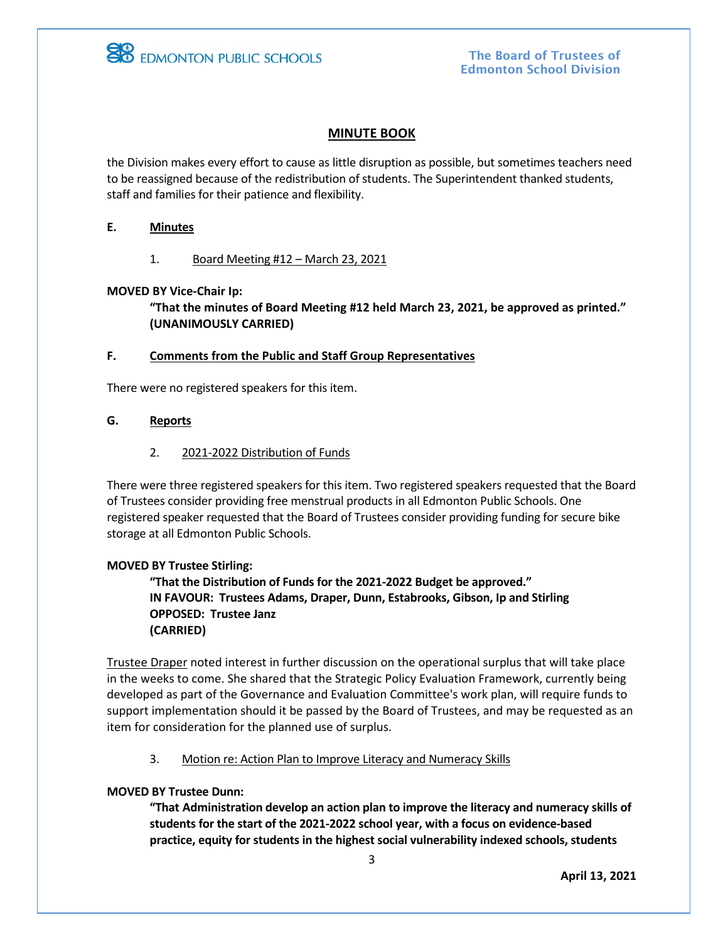

# **MINUTE BOOK**

the Division makes every effort to cause as little disruption as possible, but sometimes teachers need to be reassigned because of the redistribution of students. The Superintendent thanked students, staff and families for their patience and flexibility.

#### **E. Minutes**

1. Board Meeting #12 – March 23, 2021

### **MOVED BY Vice-Chair Ip:**

**"That the minutes of Board Meeting #12 held March 23, 2021, be approved as printed." (UNANIMOUSLY CARRIED)**

#### **F. Comments from the Public and Staff Group Representatives**

There were no registered speakers for this item.

#### **G. Reports**

2. 2021-2022 Distribution of Funds

There were three registered speakers for this item. Two registered speakers requested that the Board of Trustees consider providing free menstrual products in all Edmonton Public Schools. One registered speaker requested that the Board of Trustees consider providing funding for secure bike storage at all Edmonton Public Schools.

#### **MOVED BY Trustee Stirling:**

**"That the Distribution of Funds for the 2021-2022 Budget be approved." IN FAVOUR: Trustees Adams, Draper, Dunn, Estabrooks, Gibson, Ip and Stirling OPPOSED: Trustee Janz (CARRIED)**

Trustee Draper noted interest in further discussion on the operational surplus that will take place in the weeks to come. She shared that the Strategic Policy Evaluation Framework, currently being developed as part of the Governance and Evaluation Committee's work plan, will require funds to support implementation should it be passed by the Board of Trustees, and may be requested as an item for consideration for the planned use of surplus.

#### 3. Motion re: Action Plan to Improve Literacy and Numeracy Skills

#### **MOVED BY Trustee Dunn:**

**"That Administration develop an action plan to improve the literacy and numeracy skills of students for the start of the 2021-2022 school year, with a focus on evidence-based practice, equity for students in the highest social vulnerability indexed schools, students**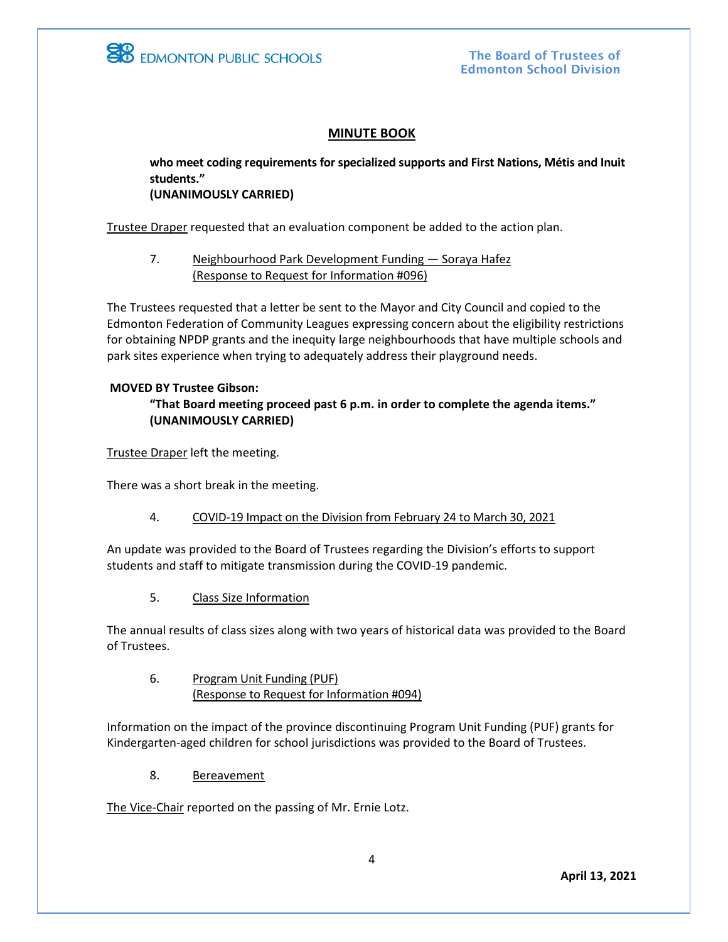

The Board of Trustees of Edmonton School Division

## **MINUTE BOOK**

**who meet coding requirements for specialized supports and First Nations, Métis and Inuit students." (UNANIMOUSLY CARRIED)**

Trustee Draper requested that an evaluation component be added to the action plan.

7. Neighbourhood Park Development Funding — Soraya Hafez (Response to Request for Information #096)

The Trustees requested that a letter be sent to the Mayor and City Council and copied to the Edmonton Federation of Community Leagues expressing concern about the eligibility restrictions for obtaining NPDP grants and the inequity large neighbourhoods that have multiple schools and park sites experience when trying to adequately address their playground needs.

### **MOVED BY Trustee Gibson:**

## **"That Board meeting proceed past 6 p.m. in order to complete the agenda items." (UNANIMOUSLY CARRIED)**

Trustee Draper left the meeting.

There was a short break in the meeting.

#### 4. COVID-19 Impact on the Division from February 24 to March 30, 2021

An update was provided to the Board of Trustees regarding the Division's efforts to support students and staff to mitigate transmission during the COVID-19 pandemic.

5. Class Size Information

The annual results of class sizes along with two years of historical data was provided to the Board of Trustees.

6. Program Unit Funding (PUF) (Response to Request for Information #094)

Information on the impact of the province discontinuing Program Unit Funding (PUF) grants for Kindergarten-aged children for school jurisdictions was provided to the Board of Trustees.

8. Bereavement

The Vice-Chair reported on the passing of Mr. Ernie Lotz.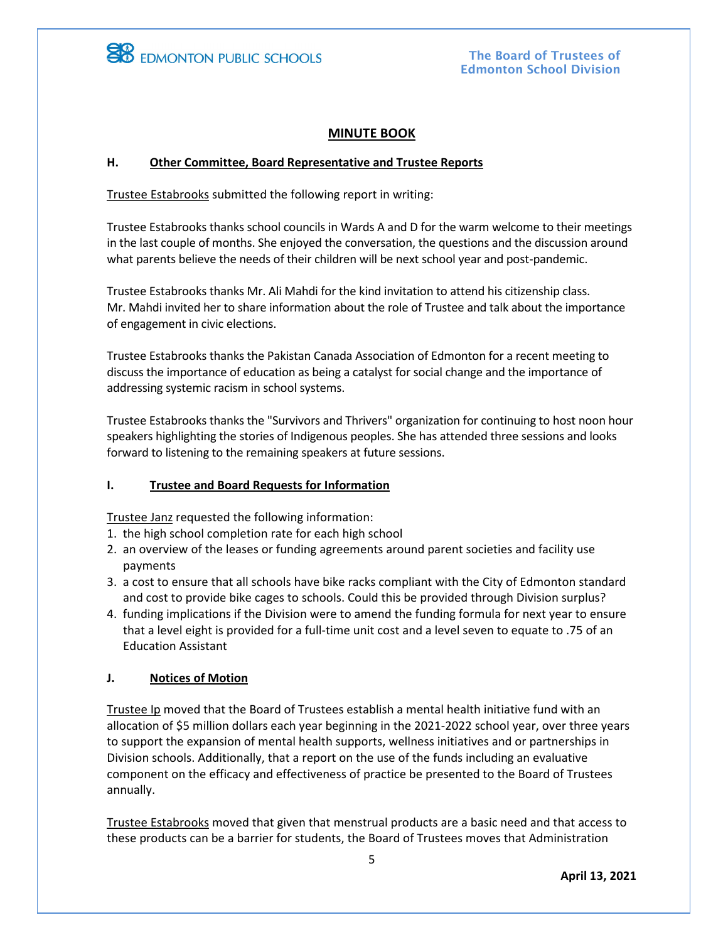

# **MINUTE BOOK**

### **H. Other Committee, Board Representative and Trustee Reports**

Trustee Estabrooks submitted the following report in writing:

Trustee Estabrooks thanks school councils in Wards A and D for the warm welcome to their meetings in the last couple of months. She enjoyed the conversation, the questions and the discussion around what parents believe the needs of their children will be next school year and post-pandemic.

Trustee Estabrooks thanks Mr. Ali Mahdi for the kind invitation to attend his citizenship class. Mr. Mahdi invited her to share information about the role of Trustee and talk about the importance of engagement in civic elections.

Trustee Estabrooks thanks the Pakistan Canada Association of Edmonton for a recent meeting to discuss the importance of education as being a catalyst for social change and the importance of addressing systemic racism in school systems.

Trustee Estabrooks thanks the "Survivors and Thrivers" organization for continuing to host noon hour speakers highlighting the stories of Indigenous peoples. She has attended three sessions and looks forward to listening to the remaining speakers at future sessions.

## **I. Trustee and Board Requests for Information**

Trustee Janz requested the following information:

- 1. the high school completion rate for each high school
- 2. an overview of the leases or funding agreements around parent societies and facility use payments
- 3. a cost to ensure that all schools have bike racks compliant with the City of Edmonton standard and cost to provide bike cages to schools. Could this be provided through Division surplus?
- 4. funding implications if the Division were to amend the funding formula for next year to ensure that a level eight is provided for a full-time unit cost and a level seven to equate to .75 of an Education Assistant

## **J. Notices of Motion**

Trustee Ip moved that the Board of Trustees establish a mental health initiative fund with an allocation of \$5 million dollars each year beginning in the 2021-2022 school year, over three years to support the expansion of mental health supports, wellness initiatives and or partnerships in Division schools. Additionally, that a report on the use of the funds including an evaluative component on the efficacy and effectiveness of practice be presented to the Board of Trustees annually.

Trustee Estabrooks moved that given that menstrual products are a basic need and that access to these products can be a barrier for students, the Board of Trustees moves that Administration